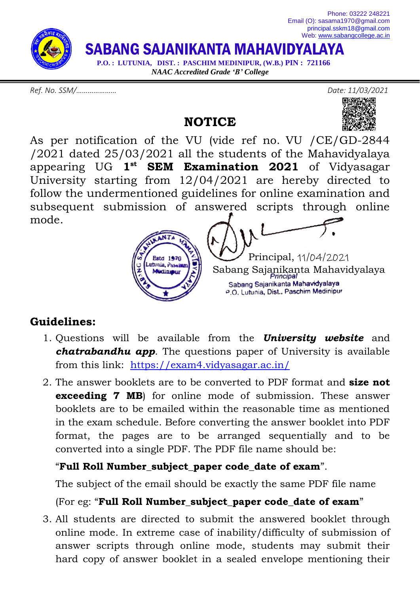

*Ref. No. SSM/………………… Date: 11/03/2021*



**NOTICE**



As per notification of the VU (vide ref no. VU /CE/GD-2844 /2021 dated 25/03/2021 all the students of the Mahavidyalaya appearing UG **1 st SEM Examination 2021** of Vidyasagar University starting from 12/04/2021 are hereby directed to follow the undermentioned guidelines for online examination and subsequent submission of answered scripts through online mode.



## **Guidelines:**

- 1. Questions will be available from the *University website* and *chatrabandhu app*. The questions paper of University is available from this link: <https://exam4.vidyasagar.ac.in/>
- 2. The answer booklets are to be converted to PDF format and **size not exceeding 7 MB**) for online mode of submission. These answer booklets are to be emailed within the reasonable time as mentioned in the exam schedule. Before converting the answer booklet into PDF format, the pages are to be arranged sequentially and to be converted into a single PDF. The PDF file name should be:

## "**Full Roll Number\_subject\_paper code\_date of exam**".

The subject of the email should be exactly the same PDF file name

## (For eg: "**Full Roll Number\_subject\_paper code\_date of exam**"

3. All students are directed to submit the answered booklet through online mode. In extreme case of inability/difficulty of submission of answer scripts through online mode, students may submit their hard copy of answer booklet in a sealed envelope mentioning their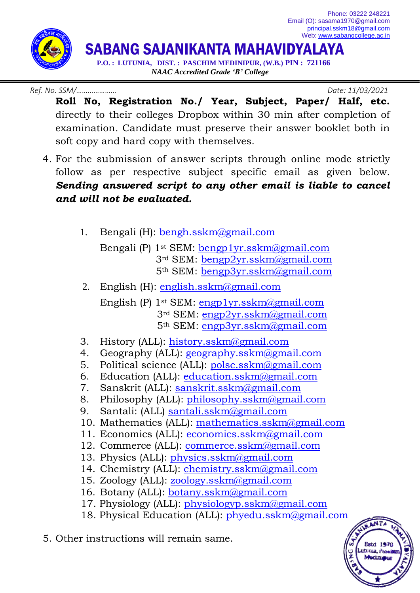Phone: 03222 248221 Email (O): sasama1970@gmail.com [principal.sskm18@gmail.com](mailto:principal.sskm18@gmail.com) Web: [www.sabangcollege.ac.in](http://www.sabangcollege.ac.in/)



SABANG SAJANIKANTA MAHAVIDYALAYA

 **P.O. : LUTUNIA, DIST. : PASCHIM MEDINIPUR, (W.B.) PIN : 721166** *NAAC Accredited Grade 'B' College*

*Ref. No. SSM/………………… Date: 11/03/2021*

**Estd 197** utunia, Pas *<u> Audinasu</u>* 

- **Roll No, Registration No./ Year, Subject, Paper/ Half, etc.** directly to their colleges Dropbox within 30 min after completion of examination. Candidate must preserve their answer booklet both in soft copy and hard copy with themselves.
- 4. For the submission of answer scripts through online mode strictly follow as per respective subject specific email as given below. *Sending answered script to any other email is liable to cancel and will not be evaluated.*
	- 1. Bengali (H): **bengh.sskm**@gmail.com
		- Bengali (P) 1st SEM: [bengp1yr.sskm@gmail.com](mailto:bengp1yr.sskm@gmail.com) 3rd SEM: [bengp2yr.sskm@gmail.com](mailto:bengp2yr.sskm@gmail.com) 5th SEM: [bengp3yr.sskm@gmail.com](mailto:bengp3yr.sskm@gmail.com)
	- 2. English (H): [english.sskm@gmail.com](mailto:english.sskm@gmail.com) English (P) 1st SEM: [engp1yr.sskm@gmail.com](mailto:engp1yr.sskm@gmail.com)
		- 3rd SEM: [engp2yr.sskm@gmail.com](mailto:engp2yr.sskm@gmail.com) 5th SEM: [engp3yr.sskm@gmail.com](mailto:engp3yr.sskm@gmail.com)
	- 3. History (ALL): [history.sskm@gmail.com](mailto:history.sskm@gmail.com)
	- 4. Geography (ALL): [geography.sskm@gmail.com](mailto:geography.sskm@gmail.com)
	- 5. Political science (ALL): [polsc.sskm@gmail.com](mailto:polsc.sskm@gmail.com)
	- 6. Education (ALL): [education.sskm@gmail.com](mailto:education.sskm@gmail.com)
	- 7. Sanskrit (ALL): [sanskrit.sskm@gmail.com](mailto:sanskrit.sskm@gmail.com)
	- 8. Philosophy (ALL): [philosophy.sskm@gmail.com](mailto:philosophy.sskm@gmail.com)
	- 9. Santali: (ALL) [santali.sskm@gmail.com](mailto:santali.sskm@gmail.com)
	- 10. Mathematics (ALL): [mathematics.sskm@gmail.com](mailto:mathematics.sskm@gmail.com)
	- 11. Economics (ALL): [economics.sskm@gmail.com](mailto:economics.sskm@gmail.com)
	- 12. Commerce (ALL): [commerce.sskm@gmail.com](mailto:commerce.sskm@gmail.com)
	- 13. Physics (ALL): [physics.sskm@gmail.com](mailto:physics.sskm@gmail.com)
	- 14. Chemistry (ALL): [chemistry.sskm@gmail.com](mailto:chemistry.sskm@gmail.com)
	- 15. Zoology (ALL): [zoology.sskm@gmail.com](mailto:zoology.sskm@gmail.com)
	- 16. Botany (ALL): **botany.sskm**@gmail.com
	- 17. Physiology (ALL): [physiologyp.sskm@gmail.com](mailto:physiologyp.sskm@gmail.com)
	- 18. Physical Education (ALL): [phyedu.sskm@gmail.com](mailto:phyedu.sskm@gmail.com)
- 5. Other instructions will remain same.